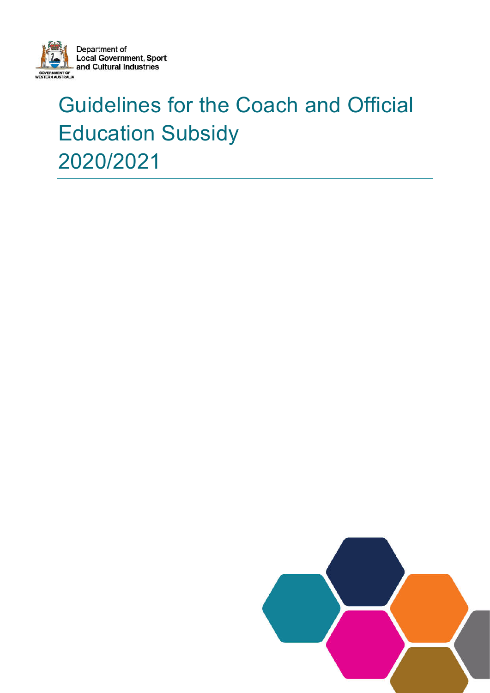

# Guidelines for the Coach and Official Education Subsidy 2020/2021

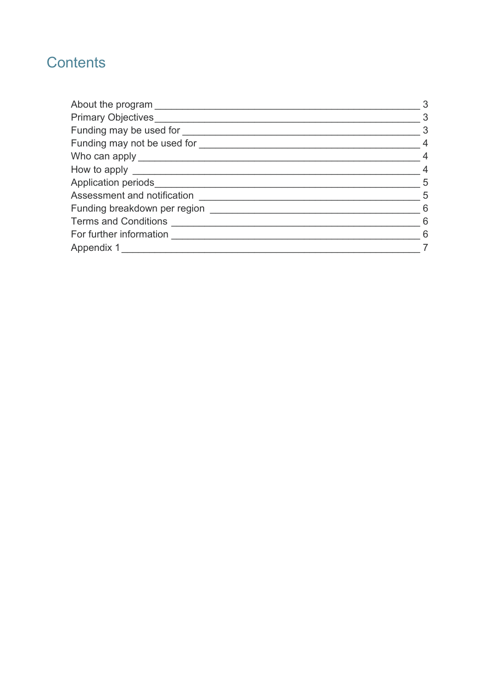# **Contents**

| About the program ____________ | 3              |
|--------------------------------|----------------|
| <b>Primary Objectives</b>      | 3              |
| Funding may be used for        | 3              |
| Funding may not be used for    | $\overline{4}$ |
| Who can apply ______________   | $\overline{4}$ |
|                                | $\overline{4}$ |
| Application periods_________   | 5              |
| Assessment and notification    | 5              |
| Funding breakdown per region   | 6              |
| Terms and Conditions           | - 6            |
| For further information        | - 6            |
| Appendix 1                     |                |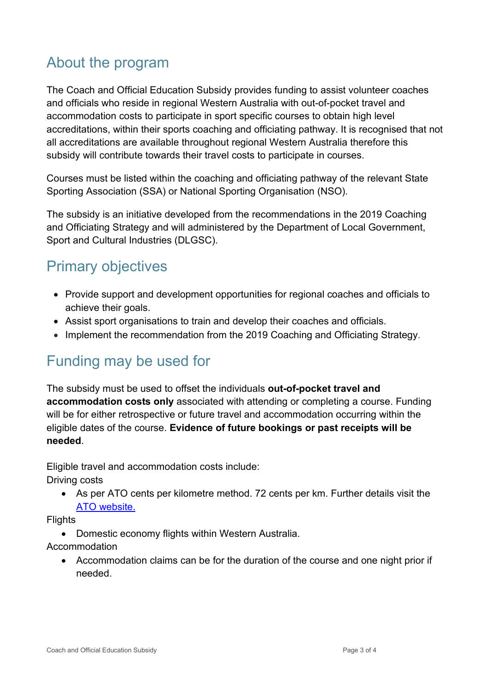# <span id="page-2-0"></span>About the program

The Coach and Official Education Subsidy provides funding to assist volunteer coaches and officials who reside in regional Western Australia with out-of-pocket travel and accommodation costs to participate in sport specific courses to obtain high level accreditations, within their sports coaching and officiating pathway. It is recognised that not all accreditations are available throughout regional Western Australia therefore this subsidy will contribute towards their travel costs to participate in courses.

Courses must be listed within the coaching and officiating pathway of the relevant State Sporting Association (SSA) or National Sporting Organisation (NSO).

The subsidy is an initiative developed from the recommendations in the 2019 Coaching and Officiating Strategy and will administered by the Department of Local Government, Sport and Cultural Industries (DLGSC).

# <span id="page-2-1"></span>Primary objectives

- Provide support and development opportunities for regional coaches and officials to achieve their goals.
- Assist sport organisations to train and develop their coaches and officials.
- Implement the recommendation from the 2019 Coaching and Officiating Strategy.

## <span id="page-2-2"></span>Funding may be used for

The subsidy must be used to offset the individuals **out-of-pocket travel and accommodation costs only** associated with attending or completing a course. Funding will be for either retrospective or future travel and accommodation occurring within the eligible dates of the course. **Evidence of future bookings or past receipts will be needed**.

Eligible travel and accommodation costs include:

Driving costs

• As per ATO cents per kilometre method. 72 cents per km. Further details visit the [ATO website.](https://www.ato.gov.au/Business/Income-and-deductions-for-business/Deductions/Deductions-for-motor-vehicle-expenses/Cents-per-kilometre-method/)

**Flights** 

• Domestic economy flights within Western Australia.

Accommodation

• Accommodation claims can be for the duration of the course and one night prior if needed.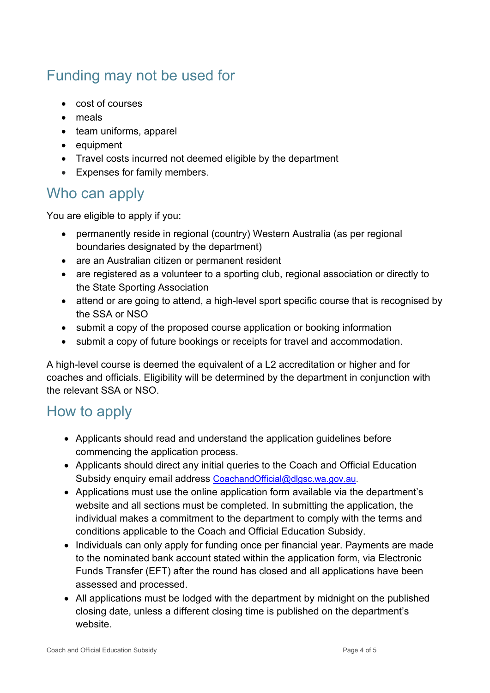# <span id="page-3-0"></span>Funding may not be used for

- cost of courses
- meals
- team uniforms, apparel
- equipment
- Travel costs incurred not deemed eligible by the department
- Expenses for family members.

### <span id="page-3-1"></span>Who can apply

You are eligible to apply if you:

- permanently reside in regional (country) Western Australia (as per regional boundaries designated by the department)
- are an Australian citizen or permanent resident
- are registered as a volunteer to a sporting club, regional association or directly to the State Sporting Association
- attend or are going to attend, a high-level sport specific course that is recognised by the SSA or NSO
- submit a copy of the proposed course application or booking information
- submit a copy of future bookings or receipts for travel and accommodation.

A high-level course is deemed the equivalent of a L2 accreditation or higher and for coaches and officials. Eligibility will be determined by the department in conjunction with the relevant SSA or NSO.

### <span id="page-3-2"></span>How to apply

- Applicants should read and understand the application guidelines before commencing the application process.
- Applicants should direct any initial queries to the Coach and Official Education Subsidy enquiry email address [CoachandOfficial@dlgsc.wa.gov.au.](mailto:CoachandOfficial@dlgsc.wa.gov.au)
- Applications must use the online application form available via the department's website and all sections must be completed. In submitting the application, the individual makes a commitment to the department to comply with the terms and conditions applicable to the Coach and Official Education Subsidy.
- Individuals can only apply for funding once per financial year. Payments are made to the nominated bank account stated within the application form, via Electronic Funds Transfer (EFT) after the round has closed and all applications have been assessed and processed.
- All applications must be lodged with the department by midnight on the published closing date, unless a different closing time is published on the department's website.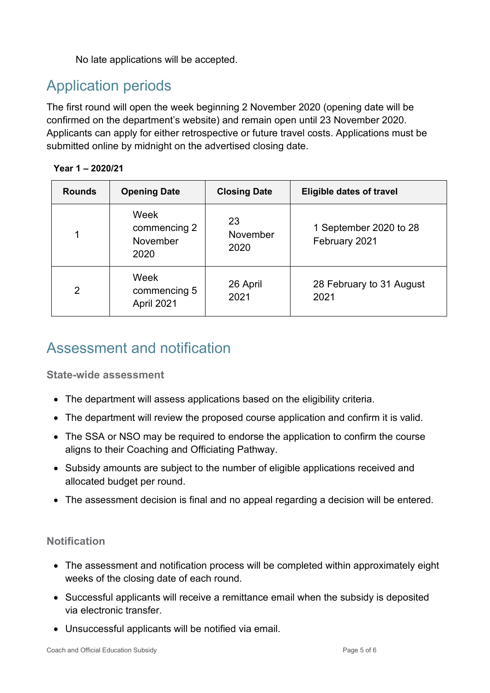No late applications will be accepted.

# <span id="page-4-0"></span>Application periods

The first round will open the week beginning 2 November 2020 (opening date will be confirmed on the department's website) and remain open until 23 November 2020. Applicants can apply for either retrospective or future travel costs. Applications must be submitted online by midnight on the advertised closing date.

#### **Year 1 – 2020/21**

| <b>Rounds</b> | <b>Opening Date</b>                      | <b>Closing Date</b>    | <b>Eligible dates of travel</b>         |
|---------------|------------------------------------------|------------------------|-----------------------------------------|
| 1             | Week<br>commencing 2<br>November<br>2020 | 23<br>November<br>2020 | 1 September 2020 to 28<br>February 2021 |
| 2             | Week<br>commencing 5<br>April 2021       | 26 April<br>2021       | 28 February to 31 August<br>2021        |

### <span id="page-4-1"></span>Assessment and notification

**State-wide assessment**

- The department will assess applications based on the eligibility criteria.
- The department will review the proposed course application and confirm it is valid.
- The SSA or NSO may be required to endorse the application to confirm the course aligns to their Coaching and Officiating Pathway.
- Subsidy amounts are subject to the number of eligible applications received and allocated budget per round.
- The assessment decision is final and no appeal regarding a decision will be entered.

#### **Notification**

- The assessment and notification process will be completed within approximately eight weeks of the closing date of each round.
- Successful applicants will receive a remittance email when the subsidy is deposited via electronic transfer.
- Unsuccessful applicants will be notified via email.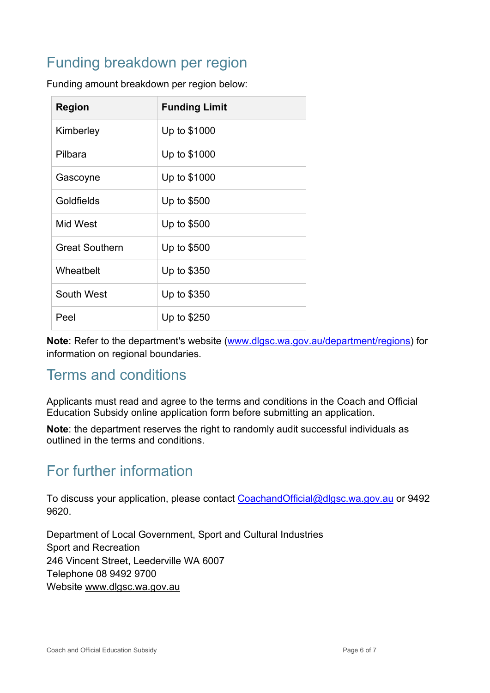# <span id="page-5-0"></span>Funding breakdown per region

| <b>Region</b>         | <b>Funding Limit</b> |
|-----------------------|----------------------|
| Kimberley             | Up to \$1000         |
| Pilbara               | Up to \$1000         |
| Gascoyne              | Up to \$1000         |
| Goldfields            | Up to \$500          |
| Mid West              | Up to \$500          |
| <b>Great Southern</b> | Up to \$500          |
| Wheatbelt             | Up to \$350          |
| South West            | Up to \$350          |
| Peel                  | Up to \$250          |

Funding amount breakdown per region below:

**Note**: Refer to the department's website (www.dlgsc.wa.gov.au/department/regions) for information on regional boundaries.

### <span id="page-5-1"></span>Terms and conditions

Applicants must read and agree to the terms and conditions in the Coach and Official Education Subsidy online application form before submitting an application.

**Note**: the department reserves the right to randomly audit successful individuals as outlined in the terms and conditions.

### <span id="page-5-2"></span>For further information

To discuss your application, please contact [CoachandOfficial@dlgsc.wa.gov.au](mailto:CoachandOfficial@dlgsc.wa.gov.au) or 9492 9620.

Department of Local Government, Sport and Cultural Industries Sport and Recreation 246 Vincent Street, Leederville WA 6007 Telephone 08 9492 9700 Website [www.dlgsc.wa.gov.au](http://www.dlgsc.wa.gov.au/)